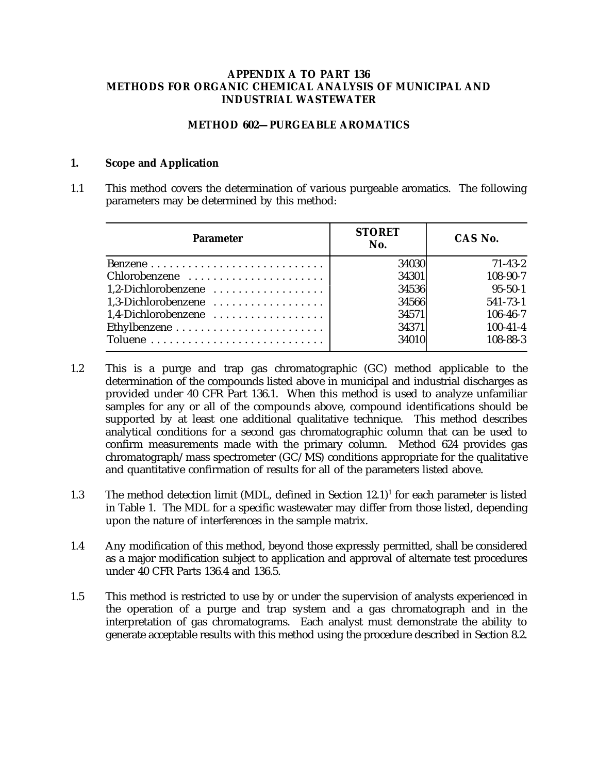### **APPENDIX A TO PART 136 METHODS FOR ORGANIC CHEMICAL ANALYSIS OF MUNICIPAL AND INDUSTRIAL WASTEWATER**

### **METHOD 602—PURGEABLE AROMATICS**

### **1. Scope and Application**

1.1 This method covers the determination of various purgeable aromatics. The following parameters may be determined by this method:

| <b>Parameter</b>    | <b>STORET</b><br>No. | CAS No.        |
|---------------------|----------------------|----------------|
|                     | 34030                | $71 - 43 - 2$  |
| Chlorobenzene       | 34301                | 108-90-7       |
| 1,2-Dichlorobenzene | 34536                | $95 - 50 - 1$  |
| 1.3-Dichlorobenzene | 34566                | $541 - 73 - 1$ |
| 1.4-Dichlorobenzene | 34571                | $106 - 46 - 7$ |
|                     | 34371                | $100 - 41 - 4$ |
|                     | 34010                | $108 - 88 - 3$ |

- 1.2 This is a purge and trap gas chromatographic (GC) method applicable to the determination of the compounds listed above in municipal and industrial discharges as provided under 40 CFR Part 136.1. When this method is used to analyze unfamiliar samples for any or all of the compounds above, compound identifications should be supported by at least one additional qualitative technique. This method describes analytical conditions for a second gas chromatographic column that can be used to confirm measurements made with the primary column. Method 624 provides gas chromatograph/mass spectrometer (GC/MS) conditions appropriate for the qualitative and quantitative confirmation of results for all of the parameters listed above.
- 1.3 The method detection limit (MDL, defined in Section  $12.1$ )<sup>1</sup> for each parameter is listed in Table 1. The MDL for a specific wastewater may differ from those listed, depending upon the nature of interferences in the sample matrix.
- 1.4 Any modification of this method, beyond those expressly permitted, shall be considered as a major modification subject to application and approval of alternate test procedures under 40 CFR Parts 136.4 and 136.5.
- 1.5 This method is restricted to use by or under the supervision of analysts experienced in the operation of a purge and trap system and a gas chromatograph and in the interpretation of gas chromatograms. Each analyst must demonstrate the ability to generate acceptable results with this method using the procedure described in Section 8.2.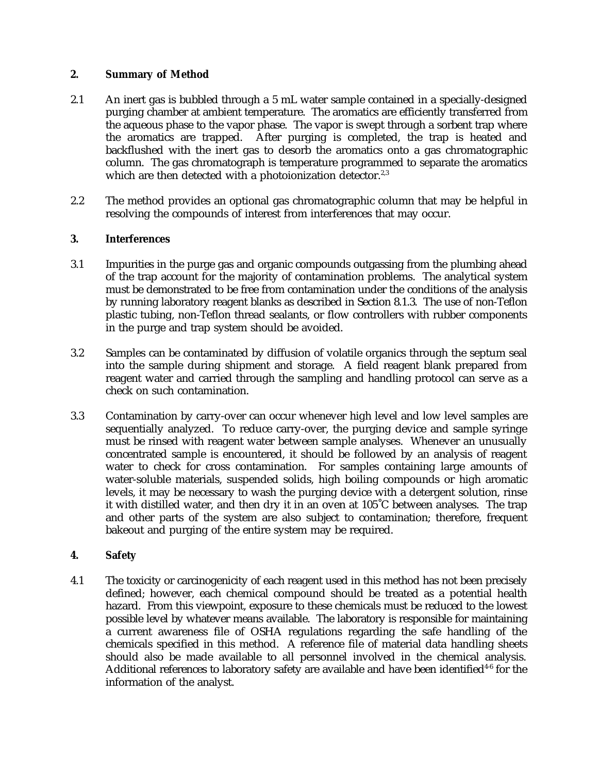## **2. Summary of Method**

- 2.1 An inert gas is bubbled through a 5 mL water sample contained in a specially-designed purging chamber at ambient temperature. The aromatics are efficiently transferred from the aqueous phase to the vapor phase. The vapor is swept through a sorbent trap where the aromatics are trapped. After purging is completed, the trap is heated and backflushed with the inert gas to desorb the aromatics onto a gas chromatographic column. The gas chromatograph is temperature programmed to separate the aromatics which are then detected with a photoionization detector.<sup>2,3</sup>
- 2.2 The method provides an optional gas chromatographic column that may be helpful in resolving the compounds of interest from interferences that may occur.

### **3. Interferences**

- 3.1 Impurities in the purge gas and organic compounds outgassing from the plumbing ahead of the trap account for the majority of contamination problems. The analytical system must be demonstrated to be free from contamination under the conditions of the analysis by running laboratory reagent blanks as described in Section 8.1.3. The use of non-Teflon plastic tubing, non-Teflon thread sealants, or flow controllers with rubber components in the purge and trap system should be avoided.
- 3.2 Samples can be contaminated by diffusion of volatile organics through the septum seal into the sample during shipment and storage. A field reagent blank prepared from reagent water and carried through the sampling and handling protocol can serve as a check on such contamination.
- 3.3 Contamination by carry-over can occur whenever high level and low level samples are sequentially analyzed. To reduce carry-over, the purging device and sample syringe must be rinsed with reagent water between sample analyses. Whenever an unusually concentrated sample is encountered, it should be followed by an analysis of reagent water to check for cross contamination. For samples containing large amounts of water-soluble materials, suspended solids, high boiling compounds or high aromatic levels, it may be necessary to wash the purging device with a detergent solution, rinse it with distilled water, and then dry it in an oven at 105˚C between analyses. The trap and other parts of the system are also subject to contamination; therefore, frequent bakeout and purging of the entire system may be required.

# **4. Safety**

4.1 The toxicity or carcinogenicity of each reagent used in this method has not been precisely defined; however, each chemical compound should be treated as a potential health hazard. From this viewpoint, exposure to these chemicals must be reduced to the lowest possible level by whatever means available. The laboratory is responsible for maintaining a current awareness file of OSHA regulations regarding the safe handling of the chemicals specified in this method. A reference file of material data handling sheets should also be made available to all personnel involved in the chemical analysis. Additional references to laboratory safety are available and have been identified<sup>46</sup> for the information of the analyst.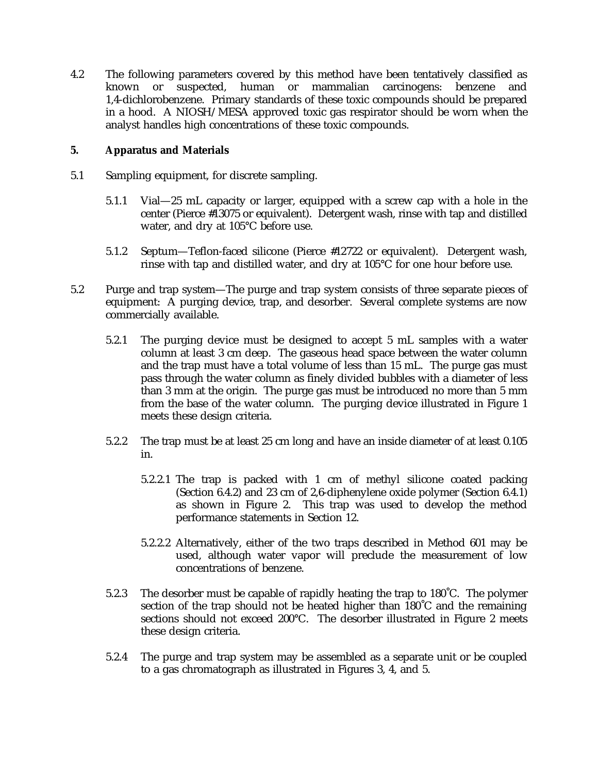4.2 The following parameters covered by this method have been tentatively classified as known or suspected, human or mammalian carcinogens: benzene and 1,4-dichlorobenzene. Primary standards of these toxic compounds should be prepared in a hood. A NIOSH/MESA approved toxic gas respirator should be worn when the analyst handles high concentrations of these toxic compounds.

## **5. Apparatus and Materials**

- 5.1 Sampling equipment, for discrete sampling.
	- 5.1.1 Vial—25 mL capacity or larger, equipped with a screw cap with a hole in the center (Pierce #13075 or equivalent). Detergent wash, rinse with tap and distilled water, and dry at 105°C before use.
	- 5.1.2 Septum—Teflon-faced silicone (Pierce #12722 or equivalent). Detergent wash, rinse with tap and distilled water, and dry at 105°C for one hour before use.
- 5.2 Purge and trap system—The purge and trap system consists of three separate pieces of equipment: A purging device, trap, and desorber. Several complete systems are now commercially available.
	- 5.2.1 The purging device must be designed to accept 5 mL samples with a water column at least 3 cm deep. The gaseous head space between the water column and the trap must have a total volume of less than 15 mL. The purge gas must pass through the water column as finely divided bubbles with a diameter of less than 3 mm at the origin. The purge gas must be introduced no more than 5 mm from the base of the water column. The purging device illustrated in Figure 1 meets these design criteria.
	- 5.2.2 The trap must be at least 25 cm long and have an inside diameter of at least 0.105 in.
		- 5.2.2.1 The trap is packed with 1 cm of methyl silicone coated packing (Section 6.4.2) and 23 cm of 2,6-diphenylene oxide polymer (Section 6.4.1) as shown in Figure 2. This trap was used to develop the method performance statements in Section 12.
		- 5.2.2.2 Alternatively, either of the two traps described in Method 601 may be used, although water vapor will preclude the measurement of low concentrations of benzene.
	- 5.2.3 The desorber must be capable of rapidly heating the trap to 180˚C. The polymer section of the trap should not be heated higher than 180˚C and the remaining sections should not exceed 200°C. The desorber illustrated in Figure 2 meets these design criteria.
	- 5.2.4 The purge and trap system may be assembled as a separate unit or be coupled to a gas chromatograph as illustrated in Figures 3, 4, and 5.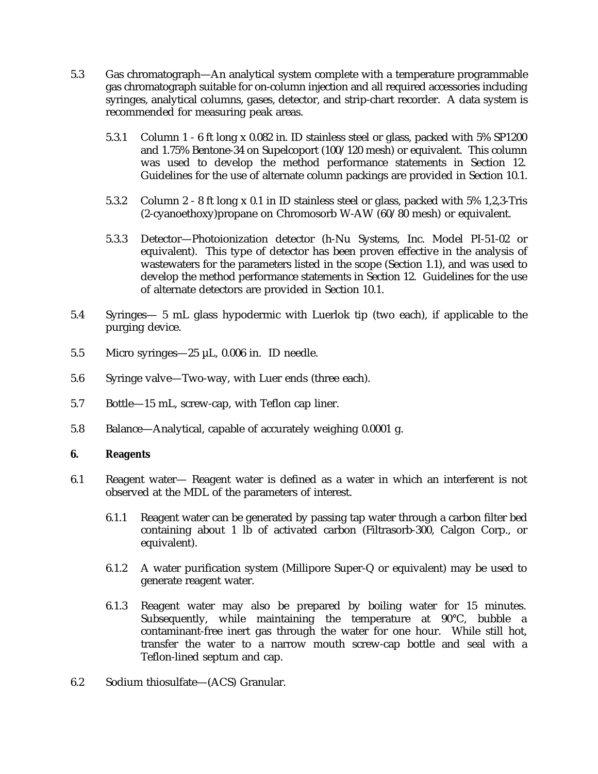- 5.3 Gas chromatograph—An analytical system complete with a temperature programmable gas chromatograph suitable for on-column injection and all required accessories including syringes, analytical columns, gases, detector, and strip-chart recorder. A data system is recommended for measuring peak areas.
	- 5.3.1 Column 1 6 ft long x 0.082 in. ID stainless steel or glass, packed with 5% SP1200 and 1.75% Bentone-34 on Supelcoport (100/120 mesh) or equivalent. This column was used to develop the method performance statements in Section 12. Guidelines for the use of alternate column packings are provided in Section 10.1.
	- 5.3.2 Column 2 8 ft long x 0.1 in ID stainless steel or glass, packed with 5% 1,2,3-Tris (2-cyanoethoxy)propane on Chromosorb W-AW (60/80 mesh) or equivalent.
	- 5.3.3 Detector—Photoionization detector (h-Nu Systems, Inc. Model PI-51-02 or equivalent). This type of detector has been proven effective in the analysis of wastewaters for the parameters listed in the scope (Section 1.1), and was used to develop the method performance statements in Section 12. Guidelines for the use of alternate detectors are provided in Section 10.1.
- 5.4 Syringes— 5 mL glass hypodermic with Luerlok tip (two each), if applicable to the purging device.
- 5.5 Micro syringes—25 µL, 0.006 in. ID needle.
- 5.6 Syringe valve—Two-way, with Luer ends (three each).
- 5.7 Bottle—15 mL, screw-cap, with Teflon cap liner.
- 5.8 Balance—Analytical, capable of accurately weighing 0.0001 g.

### **6. Reagents**

- 6.1 Reagent water— Reagent water is defined as a water in which an interferent is not observed at the MDL of the parameters of interest.
	- 6.1.1 Reagent water can be generated by passing tap water through a carbon filter bed containing about 1 lb of activated carbon (Filtrasorb-300, Calgon Corp., or equivalent).
	- 6.1.2 A water purification system (Millipore Super-Q or equivalent) may be used to generate reagent water.
	- 6.1.3 Reagent water may also be prepared by boiling water for 15 minutes. Subsequently, while maintaining the temperature at 90°C, bubble a contaminant-free inert gas through the water for one hour. While still hot, transfer the water to a narrow mouth screw-cap bottle and seal with a Teflon-lined septum and cap.
- 6.2 Sodium thiosulfate—(ACS) Granular.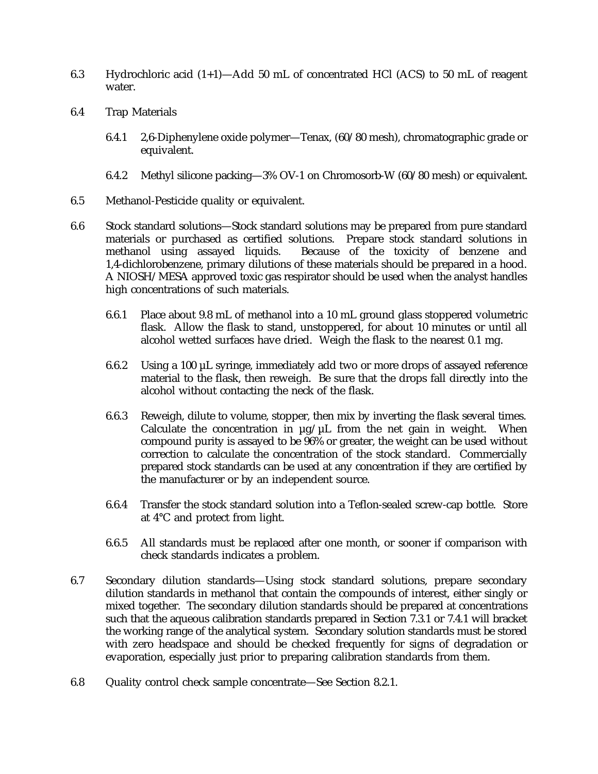- 6.3 Hydrochloric acid  $(1+1)$ —Add 50 mL of concentrated HCl (ACS) to 50 mL of reagent water.
- 6.4 Trap Materials
	- 6.4.1 2,6-Diphenylene oxide polymer—Tenax, (60/80 mesh), chromatographic grade or equivalent.
	- 6.4.2 Methyl silicone packing—3% OV-1 on Chromosorb-W (60/80 mesh) or equivalent.
- 6.5 Methanol-Pesticide quality or equivalent.
- 6.6 Stock standard solutions—Stock standard solutions may be prepared from pure standard materials or purchased as certified solutions. Prepare stock standard solutions in<br>methanol using assayed liquids. Because of the toxicity of benzene and Because of the toxicity of benzene and 1,4-dichlorobenzene, primary dilutions of these materials should be prepared in a hood. A NIOSH/MESA approved toxic gas respirator should be used when the analyst handles high concentrations of such materials.
	- 6.6.1 Place about 9.8 mL of methanol into a 10 mL ground glass stoppered volumetric flask. Allow the flask to stand, unstoppered, for about 10 minutes or until all alcohol wetted surfaces have dried. Weigh the flask to the nearest 0.1 mg.
	- 6.6.2 Using a 100 µL syringe, immediately add two or more drops of assayed reference material to the flask, then reweigh. Be sure that the drops fall directly into the alcohol without contacting the neck of the flask.
	- 6.6.3 Reweigh, dilute to volume, stopper, then mix by inverting the flask several times. Calculate the concentration in  $\mu$ g/ $\mu$ L from the net gain in weight. When compound purity is assayed to be 96% or greater, the weight can be used without correction to calculate the concentration of the stock standard. Commercially prepared stock standards can be used at any concentration if they are certified by the manufacturer or by an independent source.
	- 6.6.4 Transfer the stock standard solution into a Teflon-sealed screw-cap bottle. Store at 4°C and protect from light.
	- 6.6.5 All standards must be replaced after one month, or sooner if comparison with check standards indicates a problem.
- 6.7 Secondary dilution standards—Using stock standard solutions, prepare secondary dilution standards in methanol that contain the compounds of interest, either singly or mixed together. The secondary dilution standards should be prepared at concentrations such that the aqueous calibration standards prepared in Section 7.3.1 or 7.4.1 will bracket the working range of the analytical system. Secondary solution standards must be stored with zero headspace and should be checked frequently for signs of degradation or evaporation, especially just prior to preparing calibration standards from them.
- 6.8 Quality control check sample concentrate—See Section 8.2.1.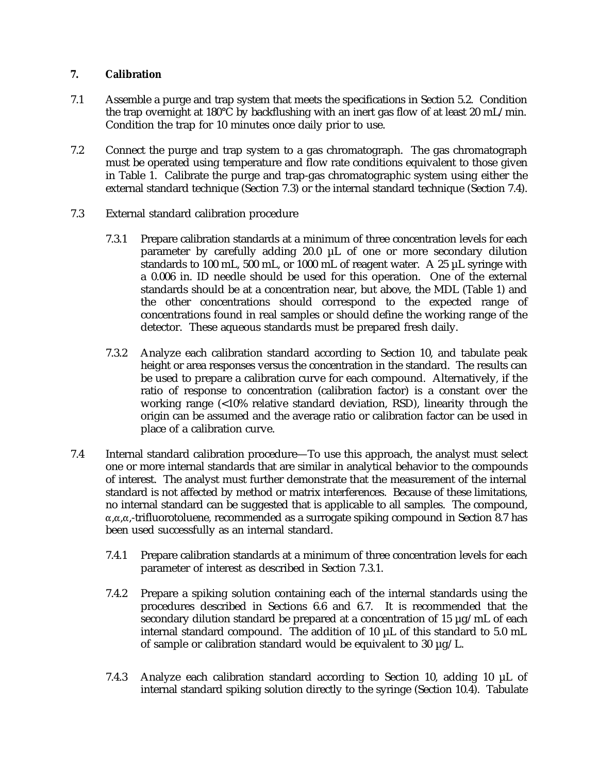# **7. Calibration**

- 7.1 Assemble a purge and trap system that meets the specifications in Section 5.2. Condition the trap overnight at 180°C by backflushing with an inert gas flow of at least 20 mL/min. Condition the trap for 10 minutes once daily prior to use.
- 7.2 Connect the purge and trap system to a gas chromatograph. The gas chromatograph must be operated using temperature and flow rate conditions equivalent to those given in Table 1. Calibrate the purge and trap-gas chromatographic system using either the external standard technique (Section 7.3) or the internal standard technique (Section 7.4).
- 7.3 External standard calibration procedure
	- 7.3.1 Prepare calibration standards at a minimum of three concentration levels for each parameter by carefully adding 20.0 µL of one or more secondary dilution standards to 100 mL, 500 mL, or 1000 mL of reagent water. A 25 µL syringe with a 0.006 in. ID needle should be used for this operation. One of the external standards should be at a concentration near, but above, the MDL (Table 1) and the other concentrations should correspond to the expected range of concentrations found in real samples or should define the working range of the detector. These aqueous standards must be prepared fresh daily.
	- 7.3.2 Analyze each calibration standard according to Section 10, and tabulate peak height or area responses versus the concentration in the standard. The results can be used to prepare a calibration curve for each compound. Alternatively, if the ratio of response to concentration (calibration factor) is a constant over the working range (<10% relative standard deviation, RSD), linearity through the origin can be assumed and the average ratio or calibration factor can be used in place of a calibration curve.
- 7.4 Internal standard calibration procedure—To use this approach, the analyst must select one or more internal standards that are similar in analytical behavior to the compounds of interest. The analyst must further demonstrate that the measurement of the internal standard is not affected by method or matrix interferences. Because of these limitations, no internal standard can be suggested that is applicable to all samples. The compound,  $\alpha$ , $\alpha$ , $\alpha$ ,-trifluorotoluene, recommended as a surrogate spiking compound in Section 8.7 has been used successfully as an internal standard.
	- 7.4.1 Prepare calibration standards at a minimum of three concentration levels for each parameter of interest as described in Section 7.3.1.
	- 7.4.2 Prepare a spiking solution containing each of the internal standards using the procedures described in Sections 6.6 and 6.7. It is recommended that the secondary dilution standard be prepared at a concentration of 15 µg/mL of each internal standard compound. The addition of 10 µL of this standard to 5.0 mL of sample or calibration standard would be equivalent to 30  $\mu$ g/L.
	- 7.4.3 Analyze each calibration standard according to Section 10, adding 10 µL of internal standard spiking solution directly to the syringe (Section 10.4). Tabulate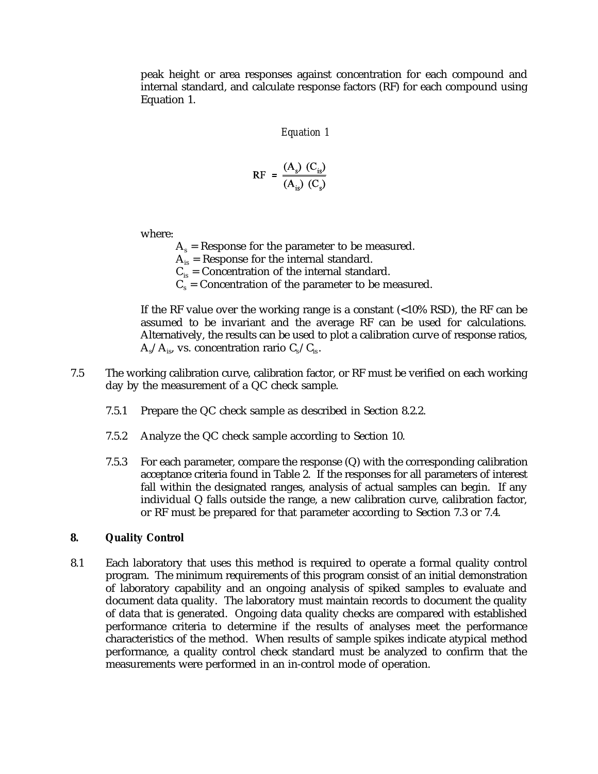peak height or area responses against concentration for each compound and internal standard, and calculate response factors (RF) for each compound using Equation 1.

*Equation 1*

$$
RF = \frac{(A_s) (C_{is})}{(A_{is}) (C_s)}
$$

where:

 $A_s$  = Response for the parameter to be measured.  $A_{i_{s}}$  = Response for the internal standard.  $C_{is}$  = Concentration of the internal standard.

 $C_s$  = Concentration of the parameter to be measured.

If the RF value over the working range is a constant (<10% RSD), the RF can be assumed to be invariant and the average RF can be used for calculations. Alternatively, the results can be used to plot a calibration curve of response ratios,  $A_s/A_{is}$ , vs. concentration rario  $C_s/C_{is}$ .

- 7.5 The working calibration curve, calibration factor, or RF must be verified on each working day by the measurement of a QC check sample.
	- 7.5.1 Prepare the QC check sample as described in Section 8.2.2.
	- 7.5.2 Analyze the QC check sample according to Section 10.
	- 7.5.3 For each parameter, compare the response (Q) with the corresponding calibration acceptance criteria found in Table 2. If the responses for all parameters of interest fall within the designated ranges, analysis of actual samples can begin. If any individual Q falls outside the range, a new calibration curve, calibration factor, or RF must be prepared for that parameter according to Section 7.3 or 7.4.

#### **8. Quality Control**

8.1 Each laboratory that uses this method is required to operate a formal quality control program. The minimum requirements of this program consist of an initial demonstration of laboratory capability and an ongoing analysis of spiked samples to evaluate and document data quality. The laboratory must maintain records to document the quality of data that is generated. Ongoing data quality checks are compared with established performance criteria to determine if the results of analyses meet the performance characteristics of the method. When results of sample spikes indicate atypical method performance, a quality control check standard must be analyzed to confirm that the measurements were performed in an in-control mode of operation.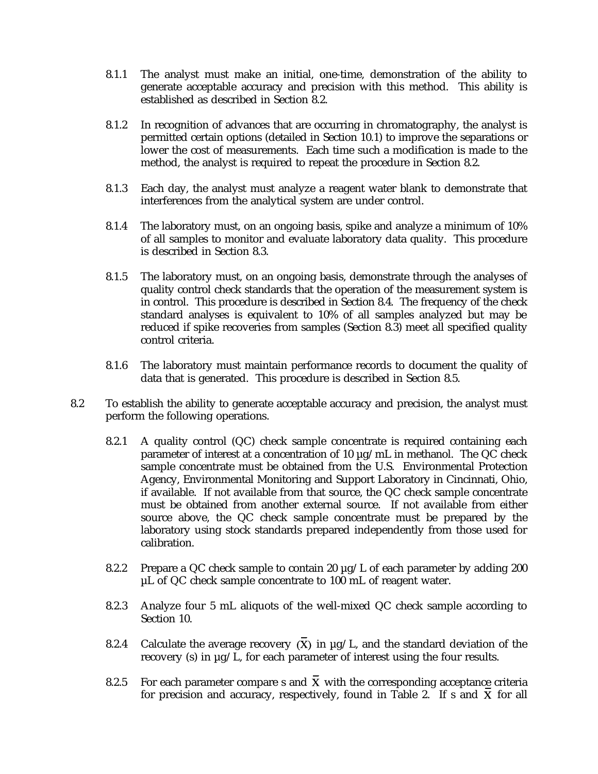- 8.1.1 The analyst must make an initial, one-time, demonstration of the ability to generate acceptable accuracy and precision with this method. This ability is established as described in Section 8.2.
- 8.1.2 In recognition of advances that are occurring in chromatography, the analyst is permitted certain options (detailed in Section 10.1) to improve the separations or lower the cost of measurements. Each time such a modification is made to the method, the analyst is required to repeat the procedure in Section 8.2.
- 8.1.3 Each day, the analyst must analyze a reagent water blank to demonstrate that interferences from the analytical system are under control.
- 8.1.4 The laboratory must, on an ongoing basis, spike and analyze a minimum of 10% of all samples to monitor and evaluate laboratory data quality. This procedure is described in Section 8.3.
- 8.1.5 The laboratory must, on an ongoing basis, demonstrate through the analyses of quality control check standards that the operation of the measurement system is in control. This procedure is described in Section 8.4. The frequency of the check standard analyses is equivalent to 10% of all samples analyzed but may be reduced if spike recoveries from samples (Section 8.3) meet all specified quality control criteria.
- 8.1.6 The laboratory must maintain performance records to document the quality of data that is generated. This procedure is described in Section 8.5.
- 8.2 To establish the ability to generate acceptable accuracy and precision, the analyst must perform the following operations.
	- 8.2.1 A quality control (QC) check sample concentrate is required containing each parameter of interest at a concentration of 10  $\mu$ g/mL in methanol. The QC check sample concentrate must be obtained from the U.S. Environmental Protection Agency, Environmental Monitoring and Support Laboratory in Cincinnati, Ohio, if available. If not available from that source, the QC check sample concentrate must be obtained from another external source. If not available from either source above, the QC check sample concentrate must be prepared by the laboratory using stock standards prepared independently from those used for calibration.
	- 8.2.2 Prepare a QC check sample to contain 20  $\mu$ g/L of each parameter by adding 200 µL of QC check sample concentrate to 100 mL of reagent water.
	- 8.2.3 Analyze four 5 mL aliquots of the well-mixed QC check sample according to Section 10.
	- 8.2.4 Calculate the average recovery  $(\overline{X})$  in  $\mu$ g/L, and the standard deviation of the recovery (s) in µg/L, for each parameter of interest using the four results.
	- 8.2.5 For each parameter compare s and  $\bar{X}$  with the corresponding acceptance criteria for precision and accuracy, respectively, found in Table 2. If s and  $X$  for all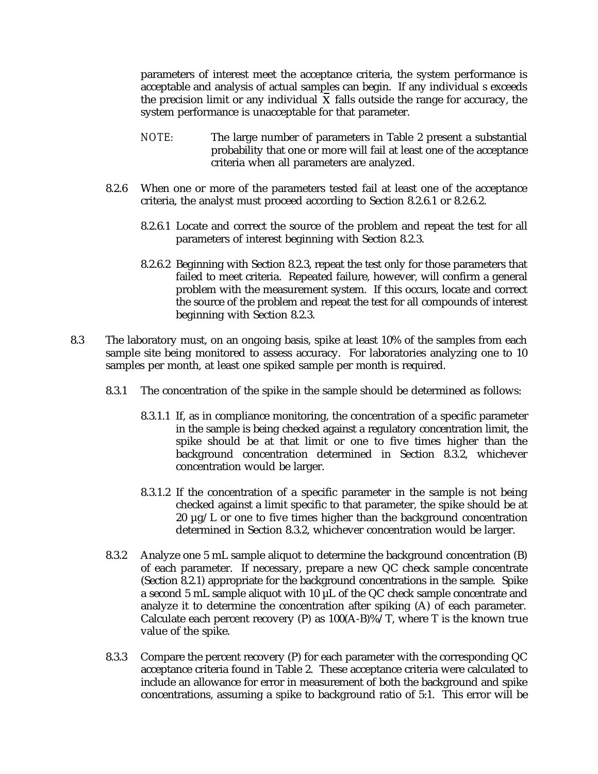parameters of interest meet the acceptance criteria, the system performance is acceptable and analysis of actual samples can begin. If any individual s exceeds the precision limit or any individual  $\boldsymbol{X}$  falls outside the range for accuracy, the system performance is unacceptable for that parameter.

- *NOTE:* The large number of parameters in Table 2 present a substantial probability that one or more will fail at least one of the acceptance criteria when all parameters are analyzed.
- 8.2.6 When one or more of the parameters tested fail at least one of the acceptance criteria, the analyst must proceed according to Section 8.2.6.1 or 8.2.6.2.
	- 8.2.6.1 Locate and correct the source of the problem and repeat the test for all parameters of interest beginning with Section 8.2.3.
	- 8.2.6.2 Beginning with Section 8.2.3, repeat the test only for those parameters that failed to meet criteria. Repeated failure, however, will confirm a general problem with the measurement system. If this occurs, locate and correct the source of the problem and repeat the test for all compounds of interest beginning with Section 8.2.3.
- 8.3 The laboratory must, on an ongoing basis, spike at least 10% of the samples from each sample site being monitored to assess accuracy. For laboratories analyzing one to 10 samples per month, at least one spiked sample per month is required.
	- 8.3.1 The concentration of the spike in the sample should be determined as follows:
		- 8.3.1.1 If, as in compliance monitoring, the concentration of a specific parameter in the sample is being checked against a regulatory concentration limit, the spike should be at that limit or one to five times higher than the background concentration determined in Section 8.3.2, whichever concentration would be larger.
		- 8.3.1.2 If the concentration of a specific parameter in the sample is not being checked against a limit specific to that parameter, the spike should be at 20  $\mu$ g/L or one to five times higher than the background concentration determined in Section 8.3.2, whichever concentration would be larger.
	- 8.3.2 Analyze one 5 mL sample aliquot to determine the background concentration (B) of each parameter. If necessary, prepare a new QC check sample concentrate (Section 8.2.1) appropriate for the background concentrations in the sample. Spike a second 5 mL sample aliquot with 10 µL of the QC check sample concentrate and analyze it to determine the concentration after spiking (A) of each parameter. Calculate each percent recovery (P) as  $100(A-B)$ %/T, where T is the known true value of the spike.
	- 8.3.3 Compare the percent recovery (P) for each parameter with the corresponding QC acceptance criteria found in Table 2. These acceptance criteria were calculated to include an allowance for error in measurement of both the background and spike concentrations, assuming a spike to background ratio of 5:1. This error will be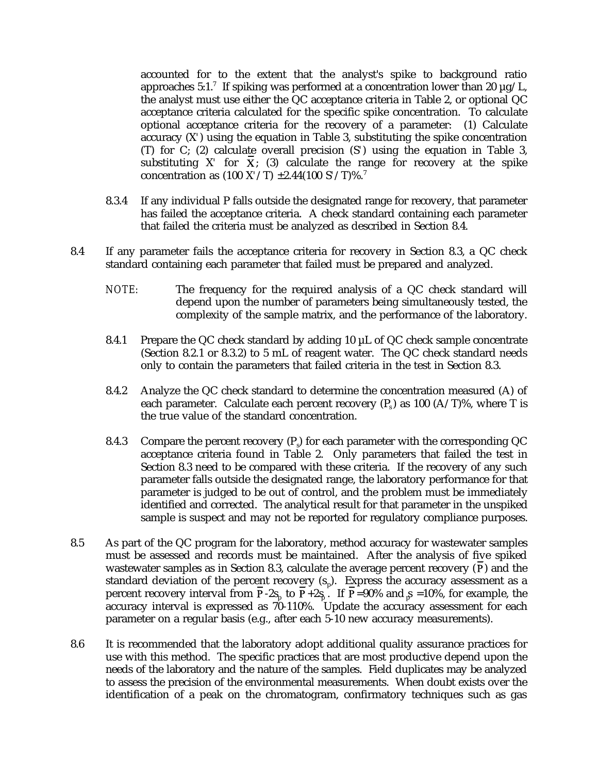accounted for to the extent that the analyst's spike to background ratio approaches 5:1.<sup>7</sup> If spiking was performed at a concentration lower than 20  $\mu$ g/L, the analyst must use either the QC acceptance criteria in Table 2, or optional QC acceptance criteria calculated for the specific spike concentration. To calculate optional acceptance criteria for the recovery of a parameter: (1) Calculate accuracy (X*'*) using the equation in Table 3, substituting the spike concentration (T) for C; (2) calculate overall precision (S*'*) using the equation in Table 3, substituting  $X'$  for  $X$ ; (3) calculate the range for recovery at the spike concentration as (100 X*'*/T) ±2.44(100 S*'*/T)%.<sup>7</sup>

- 8.3.4 If any individual P falls outside the designated range for recovery, that parameter has failed the acceptance criteria. A check standard containing each parameter that failed the criteria must be analyzed as described in Section 8.4.
- 8.4 If any parameter fails the acceptance criteria for recovery in Section 8.3, a QC check standard containing each parameter that failed must be prepared and analyzed.
	- *NOTE:* The frequency for the required analysis of a QC check standard will depend upon the number of parameters being simultaneously tested, the complexity of the sample matrix, and the performance of the laboratory.
	- 8.4.1 Prepare the QC check standard by adding 10 µL of QC check sample concentrate (Section 8.2.1 or 8.3.2) to 5 mL of reagent water. The QC check standard needs only to contain the parameters that failed criteria in the test in Section 8.3.
	- 8.4.2 Analyze the QC check standard to determine the concentration measured (A) of each parameter. Calculate each percent recovery  $(P_0)$  as 100 (A/T)%, where T is the true value of the standard concentration.
	- 8.4.3 Compare the percent recovery  $(P<sub>s</sub>)$  for each parameter with the corresponding QC acceptance criteria found in Table 2. Only parameters that failed the test in Section 8.3 need to be compared with these criteria. If the recovery of any such parameter falls outside the designated range, the laboratory performance for that parameter is judged to be out of control, and the problem must be immediately identified and corrected. The analytical result for that parameter in the unspiked sample is suspect and may not be reported for regulatory compliance purposes.
- 8.5 As part of the QC program for the laboratory, method accuracy for wastewater samples must be assessed and records must be maintained. After the analysis of five spiked wastewater samples as in Section 8.3, calculate the average percent recovery  $(P)$  and the standard deviation of the percent recovery  $(s_n)$ . Express the accuracy assessment as a percent recovery interval from **P**-2s<sub>p</sub> to **P**+2s<sub>p</sub> . If **P**=90% and  ${}_{p}$  =10%, for example, the accuracy interval is expressed as 70-110%. Update the accuracy assessment for each parameter on a regular basis (e.g., after each 5-10 new accuracy measurements).
- 8.6 It is recommended that the laboratory adopt additional quality assurance practices for use with this method. The specific practices that are most productive depend upon the needs of the laboratory and the nature of the samples. Field duplicates may be analyzed to assess the precision of the environmental measurements. When doubt exists over the identification of a peak on the chromatogram, confirmatory techniques such as gas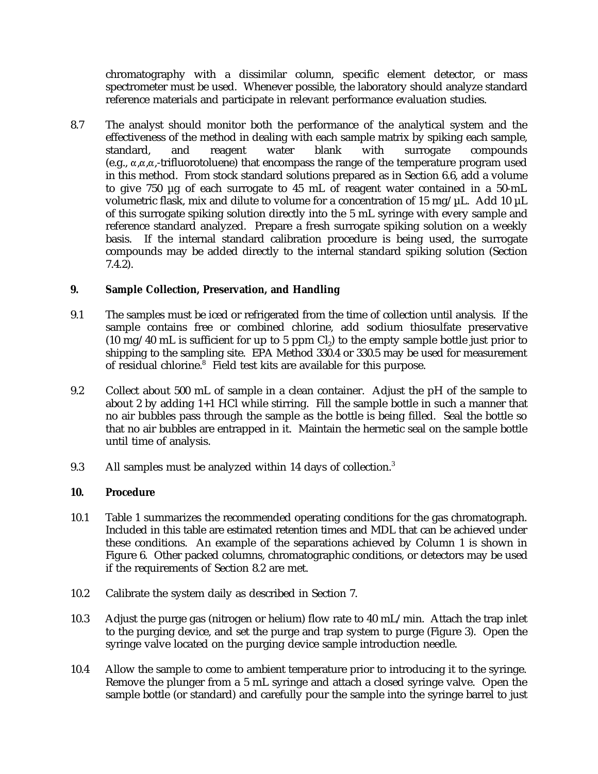chromatography with a dissimilar column, specific element detector, or mass spectrometer must be used. Whenever possible, the laboratory should analyze standard reference materials and participate in relevant performance evaluation studies.

8.7 The analyst should monitor both the performance of the analytical system and the effectiveness of the method in dealing with each sample matrix by spiking each sample, standard, and reagent water blank with surrogate compounds (e.g.,  $\alpha, \alpha, \alpha$ -trifluorotoluene) that encompass the range of the temperature program used in this method. From stock standard solutions prepared as in Section 6.6, add a volume to give 750 µg of each surrogate to 45 mL of reagent water contained in a 50-mL volumetric flask, mix and dilute to volume for a concentration of 15 mg/ $\mu$ L. Add 10  $\mu$ L of this surrogate spiking solution directly into the 5 mL syringe with every sample and reference standard analyzed. Prepare a fresh surrogate spiking solution on a weekly basis. If the internal standard calibration procedure is being used, the surrogate compounds may be added directly to the internal standard spiking solution (Section 7.4.2).

# **9. Sample Collection, Preservation, and Handling**

- 9.1 The samples must be iced or refrigerated from the time of collection until analysis. If the sample contains free or combined chlorine, add sodium thiosulfate preservative  $(10 \text{ mg}/40 \text{ mL})$  is sufficient for up to 5 ppm Cl<sub>2</sub>) to the empty sample bottle just prior to shipping to the sampling site. EPA Method 330.4 or 330.5 may be used for measurement of residual chlorine.<sup>8</sup> Field test kits are available for this purpose.
- 9.2 Collect about 500 mL of sample in a clean container. Adjust the pH of the sample to about 2 by adding 1+1 HCl while stirring. Fill the sample bottle in such a manner that no air bubbles pass through the sample as the bottle is being filled. Seal the bottle so that no air bubbles are entrapped in it. Maintain the hermetic seal on the sample bottle until time of analysis.
- 9.3 All samples must be analyzed within 14 days of collection.<sup>3</sup>

### **10. Procedure**

- 10.1 Table 1 summarizes the recommended operating conditions for the gas chromatograph. Included in this table are estimated retention times and MDL that can be achieved under these conditions. An example of the separations achieved by Column 1 is shown in Figure 6. Other packed columns, chromatographic conditions, or detectors may be used if the requirements of Section 8.2 are met.
- 10.2 Calibrate the system daily as described in Section 7.
- 10.3 Adjust the purge gas (nitrogen or helium) flow rate to 40 mL/min. Attach the trap inlet to the purging device, and set the purge and trap system to purge (Figure 3). Open the syringe valve located on the purging device sample introduction needle.
- 10.4 Allow the sample to come to ambient temperature prior to introducing it to the syringe. Remove the plunger from a 5 mL syringe and attach a closed syringe valve. Open the sample bottle (or standard) and carefully pour the sample into the syringe barrel to just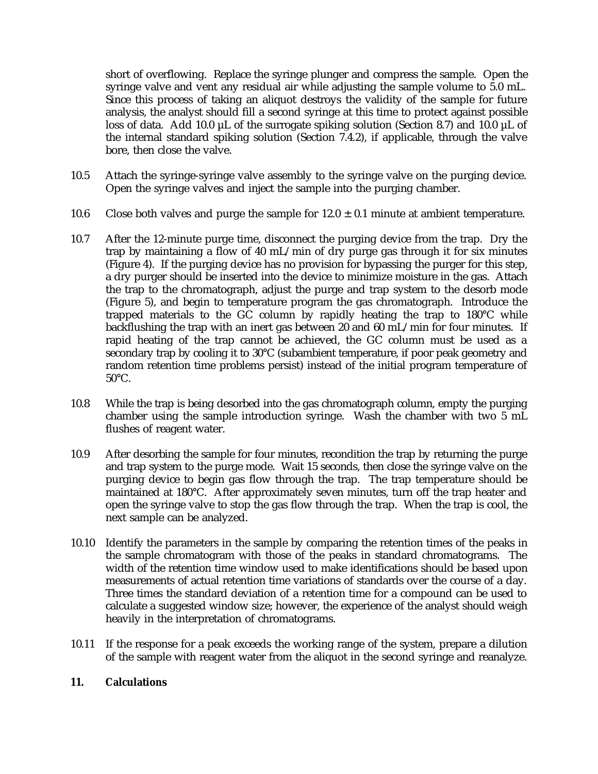short of overflowing. Replace the syringe plunger and compress the sample. Open the syringe valve and vent any residual air while adjusting the sample volume to 5.0 mL. Since this process of taking an aliquot destroys the validity of the sample for future analysis, the analyst should fill a second syringe at this time to protect against possible loss of data. Add 10.0  $\mu$ L of the surrogate spiking solution (Section 8.7) and 10.0  $\mu$ L of the internal standard spiking solution (Section 7.4.2), if applicable, through the valve bore, then close the valve.

- 10.5 Attach the syringe-syringe valve assembly to the syringe valve on the purging device. Open the syringe valves and inject the sample into the purging chamber.
- 10.6 Close both valves and purge the sample for  $12.0 \pm 0.1$  minute at ambient temperature.
- 10.7 After the 12-minute purge time, disconnect the purging device from the trap. Dry the trap by maintaining a flow of 40 mL/min of dry purge gas through it for six minutes (Figure 4). If the purging device has no provision for bypassing the purger for this step, a dry purger should be inserted into the device to minimize moisture in the gas. Attach the trap to the chromatograph, adjust the purge and trap system to the desorb mode (Figure 5), and begin to temperature program the gas chromatograph. Introduce the trapped materials to the GC column by rapidly heating the trap to 180°C while backflushing the trap with an inert gas between 20 and 60 mL/min for four minutes. If rapid heating of the trap cannot be achieved, the GC column must be used as a secondary trap by cooling it to 30°C (subambient temperature, if poor peak geometry and random retention time problems persist) instead of the initial program temperature of 50°C.
- 10.8 While the trap is being desorbed into the gas chromatograph column, empty the purging chamber using the sample introduction syringe. Wash the chamber with two 5 mL flushes of reagent water.
- 10.9 After desorbing the sample for four minutes, recondition the trap by returning the purge and trap system to the purge mode. Wait 15 seconds, then close the syringe valve on the purging device to begin gas flow through the trap. The trap temperature should be maintained at 180°C. After approximately seven minutes, turn off the trap heater and open the syringe valve to stop the gas flow through the trap. When the trap is cool, the next sample can be analyzed.
- 10.10 Identify the parameters in the sample by comparing the retention times of the peaks in the sample chromatogram with those of the peaks in standard chromatograms. The width of the retention time window used to make identifications should be based upon measurements of actual retention time variations of standards over the course of a day. Three times the standard deviation of a retention time for a compound can be used to calculate a suggested window size; however, the experience of the analyst should weigh heavily in the interpretation of chromatograms.
- 10.11 If the response for a peak exceeds the working range of the system, prepare a dilution of the sample with reagent water from the aliquot in the second syringe and reanalyze.

### **11. Calculations**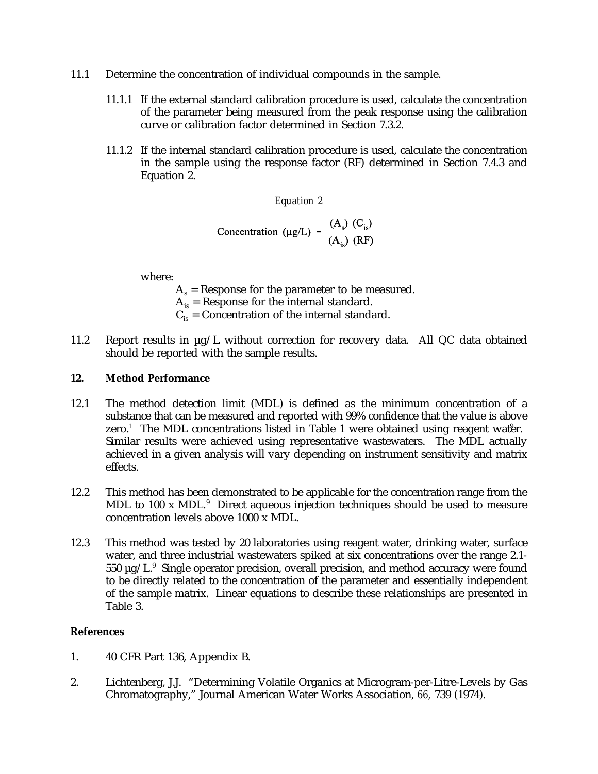- 11.1 Determine the concentration of individual compounds in the sample.
	- 11.1.1 If the external standard calibration procedure is used, calculate the concentration of the parameter being measured from the peak response using the calibration curve or calibration factor determined in Section 7.3.2.
	- 11.1.2 If the internal standard calibration procedure is used, calculate the concentration in the sample using the response factor (RF) determined in Section 7.4.3 and Equation 2.

*Equation 2*

Concentration (µg/L) = 
$$
\frac{(A_s) (C_{is})}{(A_{is}) (RF)}
$$

where:

 $A_s$  = Response for the parameter to be measured.

 $A_{is}$  = Response for the internal standard.

- $C_{is}$  = Concentration of the internal standard.
- 11.2 Report results in µg/L without correction for recovery data. All QC data obtained should be reported with the sample results.

### **12. Method Performance**

- 12.1 The method detection limit (MDL) is defined as the minimum concentration of a substance that can be measured and reported with 99% confidence that the value is above zero.<sup>1</sup> The MDL concentrations listed in Table 1 were obtained using reagent water. Similar results were achieved using representative wastewaters. The MDL actually achieved in a given analysis will vary depending on instrument sensitivity and matrix effects.
- 12.2 This method has been demonstrated to be applicable for the concentration range from the MDL to 100 x MDL. $9$  Direct aqueous injection techniques should be used to measure concentration levels above 1000 x MDL.
- 12.3 This method was tested by 20 laboratories using reagent water, drinking water, surface water, and three industrial wastewaters spiked at six concentrations over the range 2.1- 550  $\mu$ g/L.<sup>9</sup> Single operator precision, overall precision, and method accuracy were found to be directly related to the concentration of the parameter and essentially independent of the sample matrix. Linear equations to describe these relationships are presented in Table 3.

### **References**

- 1. 40 CFR Part 136, Appendix B.
- 2. Lichtenberg, J.J. "Determining Volatile Organics at Microgram-per-Litre-Levels by Gas Chromatography," Journal American Water Works Association, *66,* 739 (1974).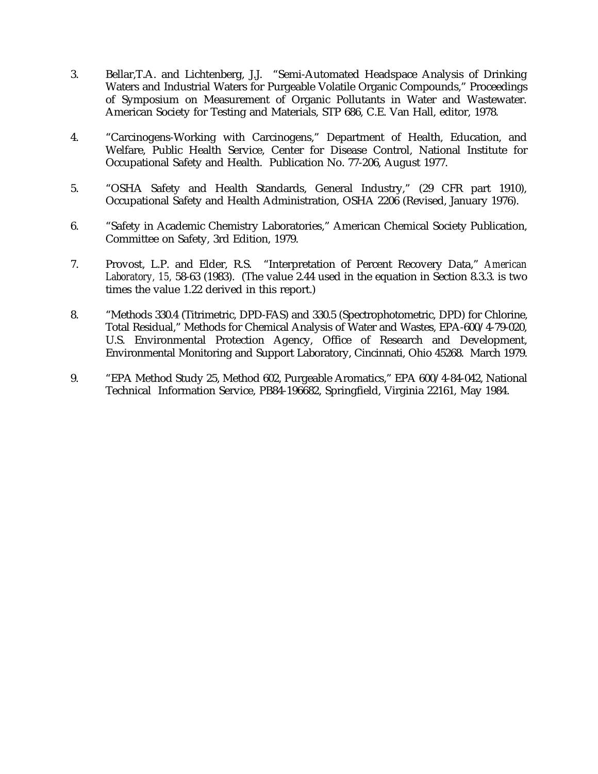- 3. Bellar,T.A. and Lichtenberg, J.J. "Semi-Automated Headspace Analysis of Drinking Waters and Industrial Waters for Purgeable Volatile Organic Compounds," Proceedings of Symposium on Measurement of Organic Pollutants in Water and Wastewater. American Society for Testing and Materials, STP 686, C.E. Van Hall, editor, 1978.
- 4. "Carcinogens-Working with Carcinogens," Department of Health, Education, and Welfare, Public Health Service, Center for Disease Control, National Institute for Occupational Safety and Health. Publication No. 77-206, August 1977.
- 5. "OSHA Safety and Health Standards, General Industry," (29 CFR part 1910), Occupational Safety and Health Administration, OSHA 2206 (Revised, January 1976).
- 6. "Safety in Academic Chemistry Laboratories," American Chemical Society Publication, Committee on Safety, 3rd Edition, 1979.
- 7. Provost, L.P. and Elder, R.S. "Interpretation of Percent Recovery Data," *American Laboratory, 15,* 58-63 (1983). (The value 2.44 used in the equation in Section 8.3.3. is two times the value 1.22 derived in this report.)
- 8. "Methods 330.4 (Titrimetric, DPD-FAS) and 330.5 (Spectrophotometric, DPD) for Chlorine, Total Residual," Methods for Chemical Analysis of Water and Wastes, EPA-600/4-79-020, U.S. Environmental Protection Agency, Office of Research and Development, Environmental Monitoring and Support Laboratory, Cincinnati, Ohio 45268. March 1979.
- 9. "EPA Method Study 25, Method 602, Purgeable Aromatics," EPA 600/4-84-042, National Technical Information Service, PB84-196682, Springfield, Virginia 22161, May 1984.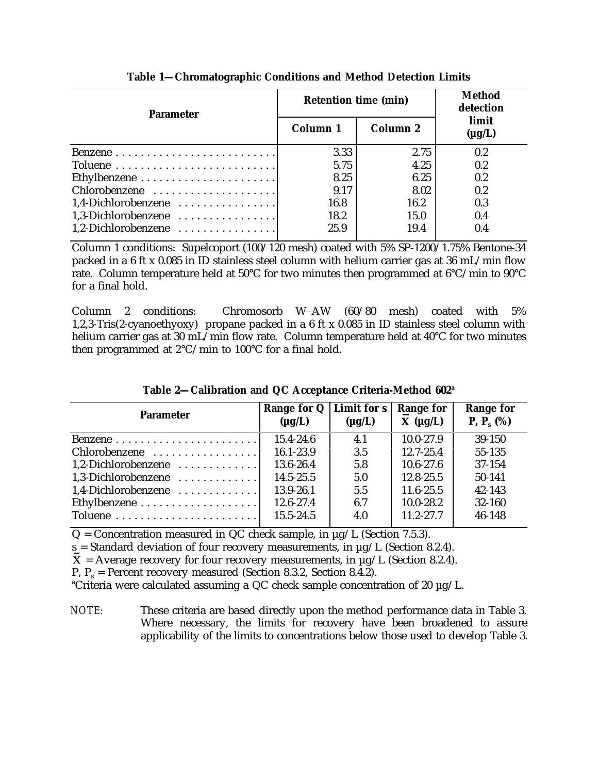| <b>Parameter</b>                                        | <b>Retention time (min)</b> | <b>Method</b><br>detection |                      |  |
|---------------------------------------------------------|-----------------------------|----------------------------|----------------------|--|
|                                                         | Column 1                    | <b>Column 2</b>            | limit<br>$(\mu g/L)$ |  |
|                                                         | 3.33                        | 2.75                       | 0.2                  |  |
|                                                         | 5.75                        | 4.25                       | 0.2                  |  |
| Ethylbenzene $\dots\dots\dots\dots\dots\dots\dots\dots$ | 8.25                        | 6.25                       | 0.2                  |  |
| Chlorobenzene                                           | 9.17                        | 8.02                       | 0.2                  |  |
| 1,4-Dichlorobenzene                                     | 16.8                        | 16.2                       | 0.3                  |  |
| 1.3-Dichlorobenzene                                     | 18.2                        | 15.0                       | 0.4                  |  |
| $1,2$ -Dichlorobenzene                                  | 25.9                        | 19.4                       | 0.4                  |  |

**Table 1—Chromatographic Conditions and Method Detection Limits**

Column 1 conditions: Supelcoport (100/120 mesh) coated with 5% SP-1200/1.75% Bentone-34 packed in a 6 ft x 0.085 in ID stainless steel column with helium carrier gas at 36 mL/min flow rate. Column temperature held at 50°C for two minutes then programmed at 6°C/min to 90°C for a final hold.

Column 2 conditions: Chromosorb W-AW (60/80 mesh) coated with 5% 1,2,3-Tris(2-cyanoethyoxy) propane packed in a 6 ft x 0.085 in ID stainless steel column with helium carrier gas at 30 mL/min flow rate. Column temperature held at 40°C for two minutes then programmed at  $2^{\circ}$ C/min to 100 $^{\circ}$ C for a final hold.

| <b>Parameter</b>       | Range for $Q$   Limit for s<br>$(\mu g/L)$ | $(\mu g/L)$ | <b>Range for</b><br>$X(\mu g/L)$ | <b>Range for</b><br><b>P</b> , $P_{s}$ (%) |
|------------------------|--------------------------------------------|-------------|----------------------------------|--------------------------------------------|
|                        | $15.4 - 24.6$                              | 4.1         | $10.0 - 27.9$                    | $39-150$                                   |
| Chlorobenzene          | 16.1-23.9                                  | 3.5         | $12.7 - 25.4$                    | 55-135                                     |
| $1,2$ -Dichlorobenzene | 13.6-26.4                                  | 5.8         | $10.6 - 27.6$                    | 37-154                                     |
| 1.3-Dichlorobenzene    | $14.5 - 25.5$                              | 5.0         | $12.8 - 25.5$                    | 50-141                                     |
| 1.4-Dichlorobenzene    | 13.9-26.1                                  | 5.5         | $11.6 - 25.5$                    | 42-143                                     |
|                        | 12.6-27.4                                  | 6.7         | $10.0 - 28.2$                    | 32-160                                     |
|                        | 15.5-24.5                                  | 4.0         | $11.2 - 27.7$                    | 46-148                                     |

**Table 2—Calibration and QC Acceptance Criteria-Method 602<sup>a</sup>**

 $Q =$  Concentration measured in QC check sample, in  $\mu$ g/L (Section 7.5.3).

 $s =$  Standard deviation of four recovery measurements, in  $\mu$ g/L (Section 8.2.4).

 $\overline{X}$  = Average recovery for four recovery measurements, in  $\mu$ g/L (Section 8.2.4).

P,  $P_s$  = Percent recovery measured (Section 8.3.2, Section 8.4.2).

<sup>a</sup>Criteria were calculated assuming a QC check sample concentration of 20  $\mu$ g/L.

*NOTE:* These criteria are based directly upon the method performance data in Table 3. Where necessary, the limits for recovery have been broadened to assure applicability of the limits to concentrations below those used to develop Table 3.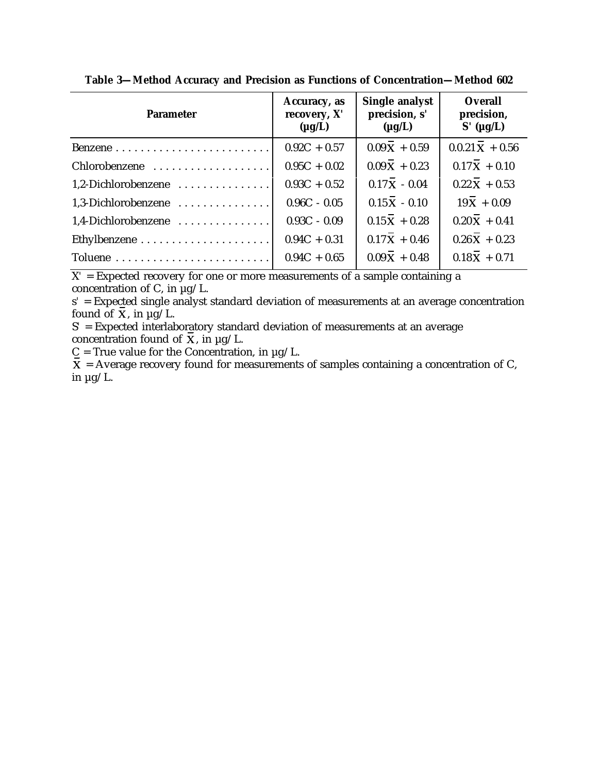| <b>Parameter</b>    | Accuracy, as<br>recovery, X'<br>$(\mu g/L)$ | <b>Single analyst</b><br>precision, s'<br>$(\mu g/L)$ | <b>Overall</b><br>precision,<br>$S'$ (µg/L) |
|---------------------|---------------------------------------------|-------------------------------------------------------|---------------------------------------------|
|                     | $0.92C + 0.57$                              | $0.09X + 0.59$                                        | $0.0.21\bar{X} + 0.56$                      |
| Chlorobenzene       | $0.95C + 0.02$                              | $0.09\overline{X} + 0.23$                             | $0.17\overline{X} + 0.10$                   |
| 1,2-Dichlorobenzene | $0.93C + 0.52$                              | $0.17\overline{X} - 0.04$                             | $0.22\overline{X} + 0.53$                   |
| 1,3-Dichlorobenzene | $0.96C - 0.05$                              | $0.15\bar{X} - 0.10$                                  | $19\bar{X} + 0.09$                          |
| 1,4-Dichlorobenzene | $0.93C - 0.09$                              | $0.15\bar{X} + 0.28$                                  | $0.20\bar{X} + 0.41$                        |
|                     | $0.94C + 0.31$                              | $0.17\bar{X} + 0.46$                                  | $0.26\overline{X} + 0.23$                   |
|                     | $0.94C + 0.65$                              | $0.09\overline{X} + 0.48$                             | $0.18\bar{X} + 0.71$                        |

**Table 3—Method Accuracy and Precision as Functions of Concentration—Method 602**

 $X'$  = Expected recovery for one or more measurements of a sample containing a concentration of C, in  $\mu$ g/L.

s*'* = Expected single analyst standard deviation of measurements at an average concentration found of  $\overline{X}$ , in  $\mu$ g/L.

S*'* = Expected interlaboratory standard deviation of measurements at an average concentration found of  $\overline{\mathbf{x}}$ , in  $\mu$ g/L.

 $C = True$  value for the Concentration, in  $\mu$ g/L.

 $\overline{\mathbf{X}}$  = Average recovery found for measurements of samples containing a concentration of C, in  $\mu$ g/L.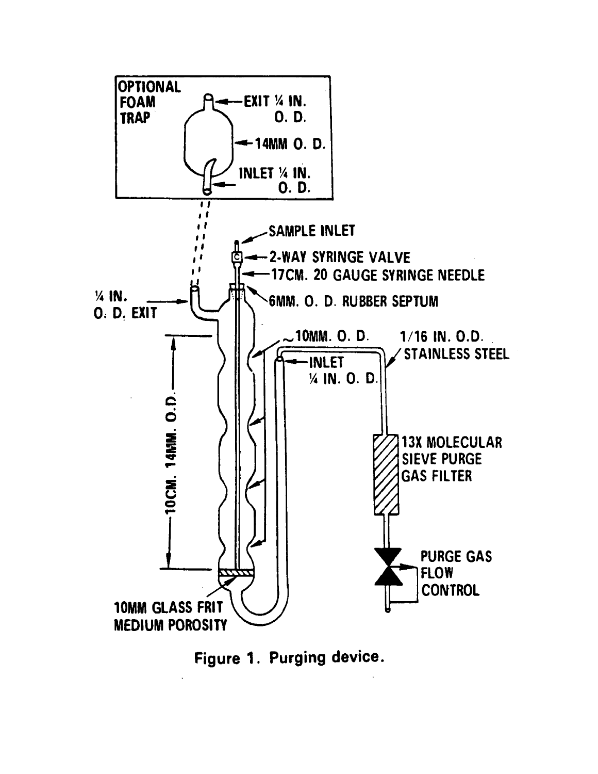

Figure 1. Purging device.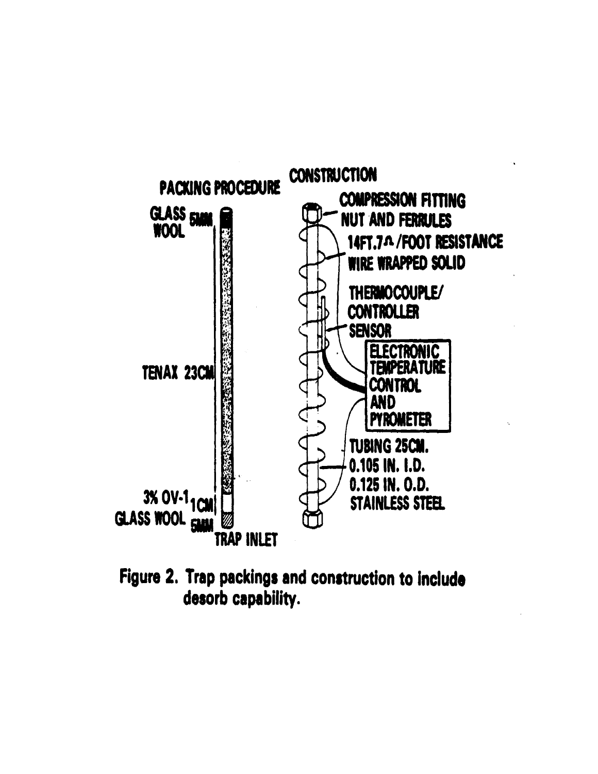

Figure 2. Trap packings and construction to include desorb capability.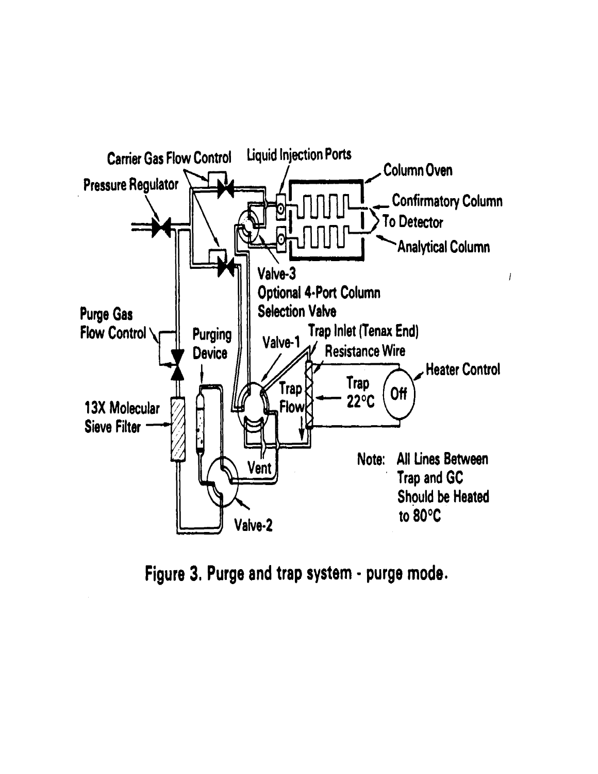

Figure 3. Purge and trap system - purge mode.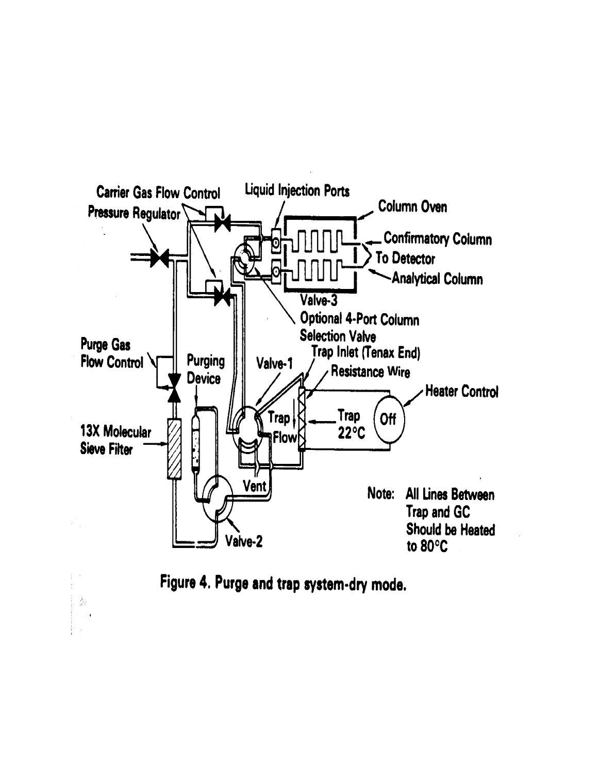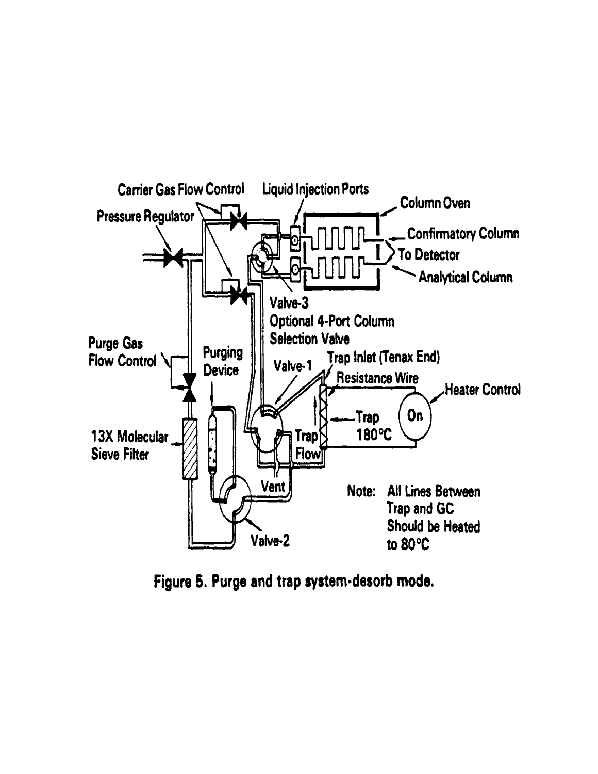

Figure 5. Purge and trap system-desorb mode.